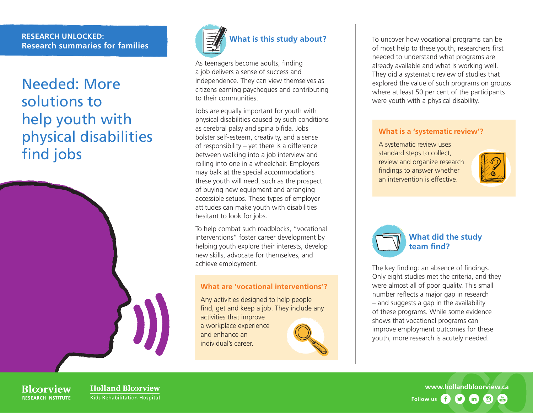#### **RESEARCH UNLOCKED: Research summaries for families**

## Needed: More solutions to help youth with physical disabilities find jobs





As teenagers become adults, finding a job delivers a sense of success and independence. They can view themselves as citizens earning paycheques and contributing to their communities.

Jobs are equally important for youth with physical disabilities caused by such conditions as cerebral palsy and spina bifida. Jobs bolster self-esteem, creativity, and a sense of responsibility – yet there is a difference between walking into a job interview and rolling into one in a wheelchair. Employers may balk at the special accommodations these youth will need, such as the prospect of buying new equipment and arranging accessible setups. These types of employer attitudes can make youth with disabilities hesitant to look for jobs.

To help combat such roadblocks, "vocational interventions" foster career development by helping youth explore their interests, develop new skills, advocate for themselves, and achieve employment.

#### **What are 'vocational interventions'?**

Any activities designed to help people find, get and keep a job. They include any activities that improve

a workplace experience and enhance an individual's career.



To uncover how vocational programs can be of most help to these youth, researchers first needed to understand what programs are already available and what is working well. They did a systematic review of studies that explored the value of such programs on groups where at least 50 per cent of the participants were youth with a physical disability.

#### **What is a 'systematic review'?**

A systematic review uses standard steps to collect, review and organize research findings to answer whether an intervention is effective.





The key finding: an absence of findings. Only eight studies met the criteria, and they were almost all of poor quality. This small number reflects a major gap in research – and suggests a gap in the availability of these programs. While some evidence shows that vocational programs can improve employment outcomes for these youth, more research is acutely needed.

**Rlcorview RESEARCH INSTITUTE**  **Holland Bloorview** Kids Rehabilitation Hospital

**[www.hollandbloorview.ca](http://www.hollandbloorview.ca) Follow us** $\boldsymbol{\Omega}$  $(m)$ . 回  $\frac{V}{I}$